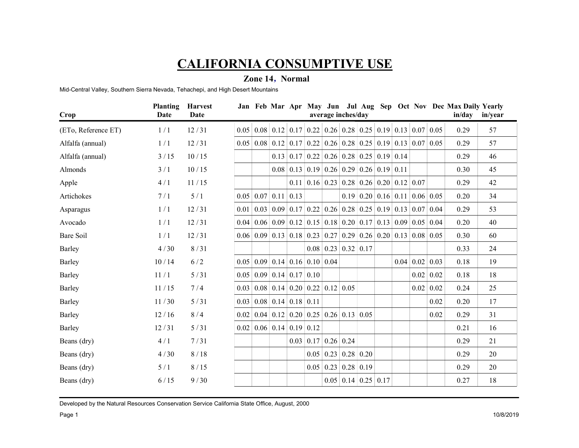### Zone 14 , Normal

|                                                                                  |         | <b>CALIFORNIA CONSUMPTIVE USE</b> |  |                                                          |                                                                                                                      |                                                          |                            |                  |      |                |
|----------------------------------------------------------------------------------|---------|-----------------------------------|--|----------------------------------------------------------|----------------------------------------------------------------------------------------------------------------------|----------------------------------------------------------|----------------------------|------------------|------|----------------|
|                                                                                  |         |                                   |  |                                                          |                                                                                                                      |                                                          |                            |                  |      |                |
| Mid-Central Valley, Southern Sierra Nevada, Tehachepi, and High Desert Mountains |         |                                   |  | Zone 14, Normal                                          |                                                                                                                      |                                                          |                            |                  |      |                |
|                                                                                  |         |                                   |  |                                                          |                                                                                                                      |                                                          |                            |                  |      |                |
| Crop                                                                             | Date    | <b>Planting Harvest</b><br>Date   |  |                                                          | Jan Feb Mar Apr May Jun Jul Aug Sep Oct Nov Dec Max Daily Yearly<br>average inches/day                               |                                                          |                            |                  |      | in/day in/year |
| (ETo, Reference ET)                                                              | 1/1     | 12/31                             |  |                                                          | $0.05 \mid 0.08 \mid 0.12 \mid 0.17 \mid 0.22 \mid 0.26 \mid 0.28 \mid 0.25 \mid 0.19 \mid 0.13 \mid 0.07 \mid 0.05$ |                                                          |                            |                  | 0.29 | 57             |
| Alfalfa (annual)                                                                 | 1/1     | 12/31                             |  |                                                          | $0.05 \mid 0.08 \mid 0.12 \mid 0.17 \mid 0.22 \mid 0.26 \mid 0.28 \mid 0.25 \mid 0.19 \mid 0.13 \mid 0.07 \mid 0.05$ |                                                          |                            |                  | 0.29 | 57             |
| Alfalfa (annual)                                                                 | 3/15    | 10/15                             |  |                                                          | $0.13$   0.17   0.22   0.26   0.28   0.25   0.19   0.14                                                              |                                                          |                            |                  | 0.29 | 46             |
| Almonds                                                                          | 3/1     | 10/15                             |  |                                                          | $0.08$ 0.13 0.19 0.26 0.29 0.26 0.19 0.11                                                                            |                                                          |                            |                  | 0.30 | 45             |
| Apple                                                                            | 4/1     | 11/15                             |  |                                                          | $0.11 \,   \, 0.16 \,   \, 0.23 \,   \, 0.28 \,   \, 0.26 \,   \, 0.20 \,   \, 0.12 \,   \, 0.07$                    |                                                          |                            |                  | 0.29 | 42             |
| Artichokes                                                                       | 7/1     | 5/1                               |  | $0.05 \mid 0.07 \mid 0.11 \mid 0.13$                     |                                                                                                                      | $0.19 \mid 0.20 \mid 0.16 \mid 0.11 \mid 0.06 \mid 0.05$ |                            |                  | 0.20 | 34             |
| Asparagus                                                                        | 1/1     | 12/31                             |  |                                                          | 0.01 0.03 0.09 0.17 0.22 0.26 0.28 0.25 0.19 0.13 0.07 0.04                                                          |                                                          |                            |                  | 0.29 | 53             |
| Avocado                                                                          | 1/1     | 12/31                             |  |                                                          | 0.04 0.06 0.09 0.12 0.15 0.18 0.20 0.17 0.13 0.09 0.05 0.04                                                          |                                                          |                            |                  | 0.20 | 40             |
| <b>Bare Soil</b>                                                                 | 1/1     | 12/31                             |  |                                                          | $0.06 \mid 0.09 \mid 0.13 \mid 0.18 \mid 0.23 \mid 0.27 \mid 0.29 \mid 0.26 \mid 0.20 \mid 0.13 \mid 0.08 \mid 0.05$ |                                                          |                            |                  | 0.30 | 60             |
| <b>Barley</b>                                                                    | 4/30    | 8/31                              |  |                                                          | $\vert 0.08 \vert 0.23 \vert 0.32 \vert 0.17 \vert$                                                                  |                                                          |                            |                  | 0.33 | 24             |
| Barley                                                                           | $10/14$ | 6/2                               |  |                                                          | $0.05 \mid 0.09 \mid 0.14 \mid 0.16 \mid 0.10 \mid 0.04$                                                             |                                                          | $0.04 \mid 0.02 \mid 0.03$ |                  | 0.18 | 19             |
| Barley                                                                           | $11/1$  | $5/31$                            |  | $0.05 \mid 0.09 \mid 0.14 \mid 0.17 \mid 0.10 \mid$      |                                                                                                                      |                                                          |                            | $0.02 \mid 0.02$ | 0.18 | 18             |
| Barley                                                                           | 11/15   | 7/4                               |  |                                                          | $0.03$   0.08   0.14   0.20   0.22   0.12   0.05                                                                     |                                                          |                            | $0.02 \mid 0.02$ | 0.24 | 25             |
| Barley                                                                           | 11/30   | $5/31$                            |  | $0.03$ 0.08 0.14 0.18 0.11                               |                                                                                                                      |                                                          |                            | 0.02             | 0.20 | 17             |
| Barley                                                                           | 12/16   | 8/4                               |  |                                                          | $0.02$   0.04   0.12   0.20   0.25   0.26   0.13   0.05                                                              |                                                          |                            | 0.02             | 0.29 | 31             |
| Barley                                                                           | 12/31   | 5/31                              |  | $\mid 0.02 \mid 0.06 \mid 0.14 \mid 0.19 \mid 0.12 \mid$ |                                                                                                                      |                                                          |                            |                  | 0.21 | 16             |
| Beans (dry)                                                                      | 4/1     | 7/31                              |  |                                                          | $\mid 0.03 \mid 0.17 \mid 0.26 \mid 0.24 \mid$                                                                       |                                                          |                            |                  | 0.29 | 21             |
| Beans (dry)                                                                      | 4/30    | $8/18$                            |  |                                                          | $0.05 \mid 0.23 \mid 0.28 \mid 0.20 \mid$                                                                            |                                                          |                            |                  | 0.29 | 20             |
| Beans (dry)                                                                      | 5/1     | 8/15                              |  |                                                          | $0.05 \mid 0.23 \mid 0.28 \mid 0.19 \mid$                                                                            |                                                          |                            |                  | 0.29 | 20             |
| Beans (dry)                                                                      | $6/15$  | 9/30                              |  |                                                          |                                                                                                                      | $0.05 \mid 0.14 \mid 0.25 \mid 0.17 \mid$                |                            |                  | 0.27 | 18             |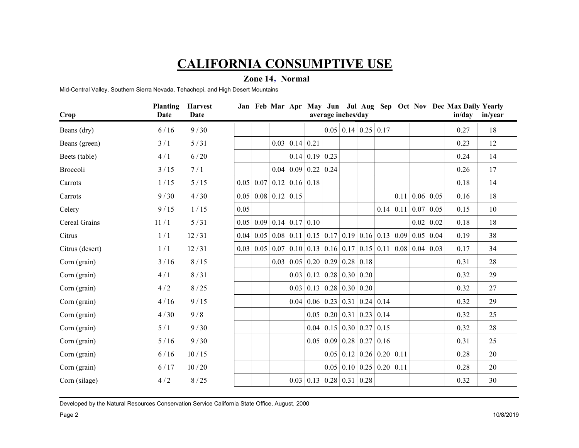### Zone 14 , Normal

|                                                                                  |        |                  |                                                |                                      |                            | <b>CALIFORNIA CONSUMPTIVE USE</b>                                                                         |                                  |                  |      |                |
|----------------------------------------------------------------------------------|--------|------------------|------------------------------------------------|--------------------------------------|----------------------------|-----------------------------------------------------------------------------------------------------------|----------------------------------|------------------|------|----------------|
|                                                                                  |        |                  | Zone 14, Normal                                |                                      |                            |                                                                                                           |                                  |                  |      |                |
| Mid-Central Valley, Southern Sierra Nevada, Tehachepi, and High Desert Mountains |        |                  |                                                |                                      |                            |                                                                                                           |                                  |                  |      |                |
|                                                                                  |        | Planting Harvest |                                                |                                      |                            | Jan Feb Mar Apr May Jun Jul Aug Sep Oct Nov Dec Max Daily Yearly                                          |                                  |                  |      |                |
| Crop                                                                             | Date   | <b>Date</b>      |                                                |                                      |                            | average inches/day                                                                                        |                                  |                  |      | in/day in/year |
| Beans (dry)                                                                      | 6/16   | 9/30             |                                                |                                      |                            | $0.05 \mid 0.14 \mid 0.25 \mid 0.17$                                                                      |                                  |                  | 0.27 | 18             |
| Beans (green)                                                                    | 3/1    | 5/31             |                                                | $0.03$ 0.14 0.21                     |                            |                                                                                                           |                                  |                  | 0.23 | 12             |
| Beets (table)                                                                    | 4/1    | 6/20             |                                                |                                      | $0.14 \mid 0.19 \mid 0.23$ |                                                                                                           |                                  |                  | 0.24 | 14             |
| Broccoli                                                                         | 3/15   | 7/1              |                                                | $0.04 \mid 0.09 \mid 0.22 \mid 0.24$ |                            |                                                                                                           |                                  |                  | 0.26 | 17             |
| Carrots                                                                          | 1/15   | $5/15$           | $0.05 \mid 0.07 \mid 0.12 \mid 0.16 \mid 0.18$ |                                      |                            |                                                                                                           |                                  |                  | 0.18 | 14             |
| Carrots                                                                          | 9/30   | 4/30             | $0.05 \mid 0.08 \mid 0.12 \mid 0.15$           |                                      |                            |                                                                                                           | $0.11 \,   \, 0.06 \,   \, 0.05$ |                  | 0.16 | 18             |
| Celery                                                                           | 9/15   | 1/15             | 0.05                                           |                                      |                            |                                                                                                           | $0.14$   0.11   0.07   0.05      |                  | 0.15 | 10             |
| Cereal Grains                                                                    | 11/1   | 5/31             | $0.05 \mid 0.09 \mid 0.14 \mid 0.17 \mid 0.10$ |                                      |                            |                                                                                                           |                                  | $0.02 \mid 0.02$ | 0.18 | 18             |
| Citrus                                                                           | 1/1    | 12/31            |                                                |                                      |                            | 0.04 0.05 0.08 0.11 0.15 0.17 0.19 0.16 0.13 0.09 0.05 0.04                                               |                                  |                  | 0.19 | 38             |
| Citrus (desert)                                                                  | 1/1    | 12/31            |                                                |                                      |                            | $0.03$   $0.05$   $0.07$   $0.10$   $0.13$   $0.16$   $0.17$   $0.15$   $0.11$   $0.08$   $0.04$   $0.03$ |                                  |                  | 0.17 | 34             |
| Corn (grain)                                                                     | $3/16$ | 8/15             |                                                |                                      |                            | $0.03 \mid 0.05 \mid 0.20 \mid 0.29 \mid 0.28 \mid 0.18$                                                  |                                  |                  | 0.31 | 28             |
| Corn (grain)                                                                     | 4/1    | 8/31             |                                                |                                      |                            | $0.03$ 0.12 0.28 0.30 0.20                                                                                |                                  |                  | 0.32 | 29             |
| Corn (grain)                                                                     | 4/2    | $8/25$           |                                                |                                      |                            | $0.03$ 0.13 0.28 0.30 0.20                                                                                |                                  |                  | 0.32 | 27             |
| Corn (grain)                                                                     | 4/16   | 9/15             |                                                |                                      |                            | $0.04 \mid 0.06 \mid 0.23 \mid 0.31 \mid 0.24 \mid 0.14$                                                  |                                  |                  | 0.32 | 29             |
| Corn (grain)                                                                     | 4/30   | 9/8              |                                                |                                      |                            | $0.05 \mid 0.20 \mid 0.31 \mid 0.23 \mid 0.14$                                                            |                                  |                  | 0.32 | 25             |
| Corn (grain)                                                                     | 5/1    | 9/30             |                                                |                                      |                            | $0.04$ 0.15 0.30 0.27 0.15                                                                                |                                  |                  | 0.32 | 28             |
| Corn (grain)                                                                     | $5/16$ | 9/30             |                                                |                                      |                            | $0.05 \mid 0.09 \mid 0.28 \mid 0.27 \mid 0.16 \mid$                                                       |                                  |                  | 0.31 | 25             |
| Corn (grain)                                                                     | $6/16$ | $10/15$          |                                                |                                      |                            | $0.05 \mid 0.12 \mid 0.26 \mid 0.20 \mid 0.11$                                                            |                                  |                  | 0.28 | 20             |
| Corn (grain)                                                                     | $6/17$ | 10/20            |                                                |                                      |                            | $0.05 \mid 0.10 \mid 0.25 \mid 0.20 \mid 0.11$                                                            |                                  |                  | 0.28 | 20             |
| Corn (silage)                                                                    | 4/2    | 8/25             |                                                |                                      |                            | $0.03$ 0.13 0.28 0.31 0.28                                                                                |                                  |                  | 0.32 | 30             |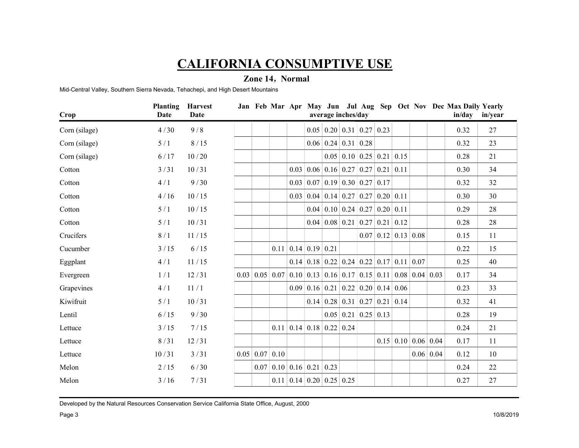### Zone 14 , Normal

|                                                                                  |        |                         |                    | <b>CALIFORNIA CONSUMPTIVE USE</b>                                                                                                   |                                                          |                             |                                      |                  |      |                |
|----------------------------------------------------------------------------------|--------|-------------------------|--------------------|-------------------------------------------------------------------------------------------------------------------------------------|----------------------------------------------------------|-----------------------------|--------------------------------------|------------------|------|----------------|
|                                                                                  |        |                         |                    | Zone 14, Normal                                                                                                                     |                                                          |                             |                                      |                  |      |                |
| Mid-Central Valley, Southern Sierra Nevada, Tehachepi, and High Desert Mountains |        |                         |                    |                                                                                                                                     |                                                          |                             |                                      |                  |      |                |
|                                                                                  |        | <b>Planting Harvest</b> |                    | Jan Feb Mar Apr May Jun Jul Aug Sep Oct Nov Dec Max Daily Yearly                                                                    |                                                          |                             |                                      |                  |      |                |
| Crop                                                                             | Date   | Date                    |                    | average inches/day                                                                                                                  |                                                          |                             |                                      |                  |      | in/day in/year |
| Corn (silage)                                                                    | 4/30   | 9/8                     |                    |                                                                                                                                     | $0.05 \mid 0.20 \mid 0.31 \mid 0.27 \mid 0.23$           |                             |                                      |                  | 0.32 | 27             |
| Corn (silage)                                                                    | 5/1    | 8/15                    |                    |                                                                                                                                     | $0.06 \mid 0.24 \mid 0.31 \mid 0.28$                     |                             |                                      |                  | 0.32 | 23             |
| Corn (silage)                                                                    | 6/17   | 10/20                   |                    |                                                                                                                                     | $0.05$ 0.10 0.25 0.21 0.15                               |                             |                                      |                  | 0.28 | 21             |
| Cotton                                                                           | 3/31   | 10/31                   |                    | $\vert 0.03 \vert 0.06 \vert 0.16 \vert 0.27 \vert 0.27 \vert 0.21 \vert 0.11$                                                      |                                                          |                             |                                      |                  | 0.30 | 34             |
| Cotton                                                                           | 4/1    | 9/30                    |                    | $0.03   0.07   0.19   0.30   0.27   0.17$                                                                                           |                                                          |                             |                                      |                  | 0.32 | 32             |
| Cotton                                                                           | 4/16   | 10/15                   |                    | $\vert 0.03 \vert 0.04 \vert 0.14 \vert 0.27 \vert 0.27 \vert 0.20 \vert 0.11$                                                      |                                                          |                             |                                      |                  | 0.30 | 30             |
| Cotton                                                                           | 5/1    | 10/15                   |                    |                                                                                                                                     | $0.04$ 0.10 0.24 0.27 0.20 0.11                          |                             |                                      |                  | 0.29 | 28             |
| Cotton                                                                           | 5/1    | 10/31                   |                    |                                                                                                                                     | $0.04 \mid 0.08 \mid 0.21 \mid 0.27 \mid 0.21 \mid 0.12$ |                             |                                      |                  | 0.28 | 28             |
| Crucifers                                                                        | 8/1    | 11/15                   |                    |                                                                                                                                     |                                                          | $0.07$   0.12   0.13   0.08 |                                      |                  | 0.15 | 11             |
| Cucumber                                                                         | 3/15   | $6/15$                  |                    | $0.11 \,   \, 0.14 \,   \, 0.19 \,   \, 0.21$                                                                                       |                                                          |                             |                                      |                  | 0.22 | 15             |
| Eggplant                                                                         | 4/1    | 11/15                   |                    | $\vert 0.14 \vert \vert 0.18 \vert \vert 0.22 \vert \vert 0.24 \vert \vert 0.22 \vert \vert 0.17 \vert \vert 0.11 \vert \vert 0.07$ |                                                          |                             |                                      |                  | 0.25 | 40             |
| Evergreen                                                                        | 1/1    | 12/31                   |                    | $0.03$ 0.05 0.07 0.10 0.13 0.16 0.17 0.15 0.11 0.08 0.04 0.03                                                                       |                                                          |                             |                                      |                  | 0.17 | 34             |
| Grapevines                                                                       | 4/1    | 11/1                    |                    | $\vert 0.09 \vert 0.16 \vert 0.21 \vert 0.22 \vert 0.20 \vert 0.14 \vert 0.06$                                                      |                                                          |                             |                                      |                  | 0.23 | 33             |
| Kiwifruit                                                                        | 5/1    | 10/31                   |                    |                                                                                                                                     | $0.14 \mid 0.28 \mid 0.31 \mid 0.27 \mid 0.21 \mid 0.14$ |                             |                                      |                  | 0.32 | 41             |
| Lentil                                                                           | $6/15$ | 9/30                    |                    |                                                                                                                                     | $0.05 \mid 0.21 \mid 0.25 \mid 0.13$                     |                             |                                      |                  | 0.28 | 19             |
| Lettuce                                                                          | 3/15   | 7/15                    |                    | $0.11 \mid 0.14 \mid 0.18 \mid 0.22 \mid 0.24$                                                                                      |                                                          |                             |                                      |                  | 0.24 | 21             |
| Lettuce                                                                          | 8/31   | 12/31                   |                    |                                                                                                                                     |                                                          |                             | $0.15 \mid 0.10 \mid 0.06 \mid 0.04$ |                  | 0.17 | 11             |
| Lettuce                                                                          | 10/31  | 3/31                    | 0.05   0.07   0.10 |                                                                                                                                     |                                                          |                             |                                      | $0.06 \mid 0.04$ | 0.12 | 10             |
| Melon                                                                            | $2/15$ | $6/30$                  |                    | $0.07$ 0.10 0.16 0.21 0.23                                                                                                          |                                                          |                             |                                      |                  | 0.24 | 22             |
| Melon                                                                            | 3/16   | 7/31                    |                    | $0.11 \,   \, 0.14 \,   \, 0.20 \,   \, 0.25 \,   \, 0.25$                                                                          |                                                          |                             |                                      |                  | 0.27 | 27             |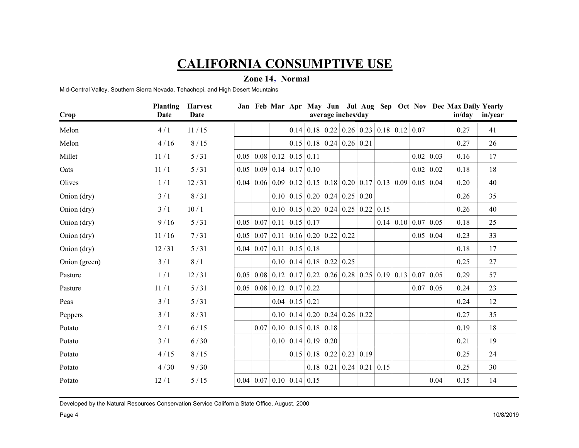### Zone 14 , Normal

|                                                                                  |        |                         |                                                                    |                                                            | <b>CALIFORNIA CONSUMPTIVE USE</b>                                                                                    |                   |      |                |
|----------------------------------------------------------------------------------|--------|-------------------------|--------------------------------------------------------------------|------------------------------------------------------------|----------------------------------------------------------------------------------------------------------------------|-------------------|------|----------------|
|                                                                                  |        |                         | Zone 14, Normal                                                    |                                                            |                                                                                                                      |                   |      |                |
| Mid-Central Valley, Southern Sierra Nevada, Tehachepi, and High Desert Mountains |        |                         |                                                                    |                                                            |                                                                                                                      |                   |      |                |
|                                                                                  |        | <b>Planting Harvest</b> |                                                                    |                                                            | Jan Feb Mar Apr May Jun Jul Aug Sep Oct Nov Dec Max Daily Yearly                                                     |                   |      |                |
| Crop                                                                             | Date   | Date                    |                                                                    |                                                            | average inches/day                                                                                                   |                   |      | in/day in/year |
| Melon                                                                            | 4/1    | 11/15                   |                                                                    |                                                            | $0.14$   0.18   0.22   0.26   0.23   0.18   0.12   0.07                                                              |                   | 0.27 | 41             |
| Melon                                                                            | 4/16   | 8/15                    |                                                                    | $0.15 \mid 0.18 \mid 0.24 \mid 0.26 \mid 0.21$             |                                                                                                                      |                   | 0.27 | 26             |
| Millet                                                                           | 11/1   | 5/31                    | $0.05 \mid 0.08 \mid 0.12 \mid 0.15 \mid 0.11$                     |                                                            |                                                                                                                      | $0.02 \mid 0.03$  | 0.16 | 17             |
| Oats                                                                             | 11/1   | 5/31                    | $0.05 \mid 0.09 \mid 0.14 \mid 0.17 \mid 0.10$                     |                                                            |                                                                                                                      | $0.02 \mid 0.02$  | 0.18 | 18             |
| Olives                                                                           | 1/1    | 12/31                   |                                                                    |                                                            | 0.04 0.06 0.09 0.12 0.15 0.18 0.20 0.17 0.13 0.09 0.05 0.04                                                          |                   | 0.20 | 40             |
| Onion (dry)                                                                      | 3/1    | 8/31                    |                                                                    | $0.10 \mid 0.15 \mid 0.20 \mid 0.24 \mid 0.25 \mid 0.20$   |                                                                                                                      |                   | 0.26 | 35             |
| Onion (dry)                                                                      | 3/1    | 10/1                    |                                                                    |                                                            | $0.10 \mid 0.15 \mid 0.20 \mid 0.24 \mid 0.25 \mid 0.22 \mid 0.15$                                                   |                   | 0.26 | 40             |
| Onion (dry)                                                                      | 9/16   | 5/31                    | $0.05 \mid 0.07 \mid 0.11 \mid 0.15 \mid 0.17$                     |                                                            | $0.14$ 0.10 0.07 0.05                                                                                                |                   | 0.18 | 25             |
| Onion (dry)                                                                      | 11/16  | 7/31                    | $0.05 \mid 0.07 \mid 0.11 \mid 0.16 \mid 0.20 \mid 0.22 \mid 0.22$ |                                                            |                                                                                                                      | $0.05 \, \, 0.04$ | 0.23 | 33             |
| Onion (dry)                                                                      | 12/31  | $5/31$                  | 0.04 0.07 0.11 0.15 0.18                                           |                                                            |                                                                                                                      |                   | 0.18 | 17             |
| Onion (green)                                                                    | 3/1    | 8/1                     |                                                                    | $0.10 \mid 0.14 \mid 0.18 \mid 0.22 \mid 0.25$             |                                                                                                                      |                   | 0.25 | 27             |
| Pasture                                                                          | 1/1    | 12/31                   |                                                                    |                                                            | $0.05 \mid 0.08 \mid 0.12 \mid 0.17 \mid 0.22 \mid 0.26 \mid 0.28 \mid 0.25 \mid 0.19 \mid 0.13 \mid 0.07 \mid 0.05$ |                   | 0.29 | 57             |
| Pasture                                                                          | $11/1$ | $5/31$                  | $0.05 \mid 0.08 \mid 0.12 \mid 0.17 \mid 0.22 \mid$                |                                                            |                                                                                                                      | 0.07 0.05         | 0.24 | 23             |
| Peas                                                                             | 3/1    | $5/31$                  |                                                                    | $0.04 \mid 0.15 \mid 0.21$                                 |                                                                                                                      |                   | 0.24 | 12             |
| Peppers                                                                          | 3/1    | 8/31                    |                                                                    | $0.10 \mid 0.14 \mid 0.20 \mid 0.24 \mid 0.26 \mid 0.22$   |                                                                                                                      |                   | 0.27 | 35             |
| Potato                                                                           | 2/1    | $6/15$                  |                                                                    | $0.07$ 0.10 0.15 0.18 0.18                                 |                                                                                                                      |                   | 0.19 | 18             |
| Potato                                                                           | 3/1    | 6/30                    |                                                                    | $0.10 \mid 0.14 \mid 0.19 \mid 0.20 \mid$                  |                                                                                                                      |                   | 0.21 | 19             |
| Potato                                                                           | 4/15   | 8/15                    |                                                                    | $0.15 \,   \, 0.18 \,   \, 0.22 \,   \, 0.23 \,   \, 0.19$ |                                                                                                                      |                   | 0.25 | 24             |
| Potato                                                                           | 4/30   | 9/30                    |                                                                    |                                                            | $0.18$ 0.21 0.24 0.21 0.15                                                                                           |                   | 0.25 | 30             |
| Potato                                                                           | 12/1   | $5/15$                  | $\vert 0.04 \vert 0.07 \vert 0.10 \vert 0.14 \vert 0.15 \vert$     |                                                            |                                                                                                                      | 0.04              | 0.15 | 14             |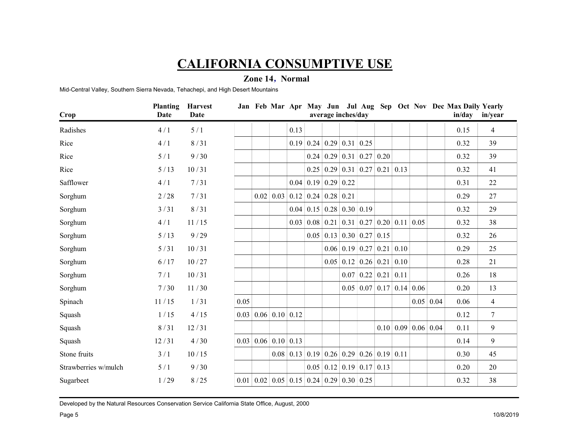### Zone 14 , Normal

|                                                                                  |        |                         |                           |      | <b>CALIFORNIA CONSUMPTIVE USE</b>                                                         |                           |                     |      |                |
|----------------------------------------------------------------------------------|--------|-------------------------|---------------------------|------|-------------------------------------------------------------------------------------------|---------------------------|---------------------|------|----------------|
|                                                                                  |        |                         | Zone 14, Normal           |      |                                                                                           |                           |                     |      |                |
| Mid-Central Valley, Southern Sierra Nevada, Tehachepi, and High Desert Mountains |        |                         |                           |      |                                                                                           |                           |                     |      |                |
|                                                                                  |        | <b>Planting Harvest</b> |                           |      | Jan Feb Mar Apr May Jun Jul Aug Sep Oct Nov Dec Max Daily Yearly                          |                           |                     |      |                |
| Crop                                                                             | Date   | <b>Date</b>             |                           |      | average inches/day                                                                        |                           |                     |      | in/day in/year |
| Radishes                                                                         | 4/1    | 5/1                     |                           | 0.13 |                                                                                           |                           |                     | 0.15 | $\overline{4}$ |
| Rice                                                                             | 4/1    | 8/31                    |                           |      | $0.19 \mid 0.24 \mid 0.29 \mid 0.31 \mid 0.25$                                            |                           |                     | 0.32 | 39             |
| Rice                                                                             | 5/1    | 9/30                    |                           |      | $0.24 \mid 0.29 \mid 0.31 \mid 0.27 \mid 0.20$                                            |                           |                     | 0.32 | 39             |
| Rice                                                                             | $5/13$ | 10/31                   |                           |      | $0.25 \mid 0.29 \mid 0.31 \mid 0.27 \mid 0.21 \mid 0.13$                                  |                           |                     | 0.32 | 41             |
| Safflower                                                                        | 4/1    | 7/31                    |                           |      | $0.04 \mid 0.19 \mid 0.29 \mid 0.22$                                                      |                           |                     | 0.31 | 22             |
| Sorghum                                                                          | 2/28   | 7/31                    |                           |      | $0.02$ 0.03 0.12 0.24 0.28 0.21                                                           |                           |                     | 0.29 | 27             |
| Sorghum                                                                          | 3/31   | 8/31                    |                           |      | $0.04$ 0.15 0.28 0.30 0.19                                                                |                           |                     | 0.32 | 29             |
| Sorghum                                                                          | 4/1    | 11/15                   |                           |      | $0.03$ 0.08 0.21 0.31 0.27 0.20 0.11 0.05                                                 |                           |                     | 0.32 | 38             |
| Sorghum                                                                          | $5/13$ | 9/29                    |                           |      | $0.05 \mid 0.13 \mid 0.30 \mid 0.27 \mid 0.15$                                            |                           |                     | 0.32 | 26             |
| Sorghum                                                                          | $5/31$ | 10/31                   |                           |      | $0.06$ 0.19 0.27 0.21 0.10                                                                |                           |                     | 0.29 | 25             |
| Sorghum                                                                          | $6/17$ | 10/27                   |                           |      | $0.05$ 0.12 0.26 0.21 0.10                                                                |                           |                     | 0.28 | 21             |
| Sorghum                                                                          | 7/1    | 10/31                   |                           |      | $0.07$ 0.22 0.21 0.11                                                                     |                           |                     | 0.26 | 18             |
| Sorghum                                                                          | 7/30   | 11/30                   |                           |      | $0.05$ 0.07 0.17 0.14 0.06                                                                |                           |                     | 0.20 | 13             |
| Spinach                                                                          | 11/15  | 1/31                    | 0.05                      |      |                                                                                           |                           | $0.05 \,   \, 0.04$ | 0.06 | $\overline{4}$ |
| Squash                                                                           | 1/15   | 4/15                    | 0.03   0.06   0.10   0.12 |      |                                                                                           |                           |                     | 0.12 | $\tau$         |
| Squash                                                                           | 8/31   | 12/31                   |                           |      |                                                                                           | 0.10   0.09   0.06   0.04 |                     | 0.11 | 9              |
| Squash                                                                           | 12/31  | 4/30                    | 0.03   0.06   0.10   0.13 |      |                                                                                           |                           |                     | 0.14 | $\overline{9}$ |
| Stone fruits                                                                     | 3/1    | 10/15                   |                           |      | $0.08$ 0.13 0.19 0.26 0.29 0.26 0.19 0.11                                                 |                           |                     | 0.30 | 45             |
| Strawberries w/mulch                                                             | 5/1    | 9/30                    |                           |      | $0.05 \mid 0.12 \mid 0.19 \mid 0.17 \mid 0.13$                                            |                           |                     | 0.20 | 20             |
| Sugarbeet                                                                        | 1/29   | 8/25                    |                           |      | $\vert 0.01 \vert 0.02 \vert 0.05 \vert 0.15 \vert 0.24 \vert 0.29 \vert 0.30 \vert 0.25$ |                           |                     | 0.32 | 38             |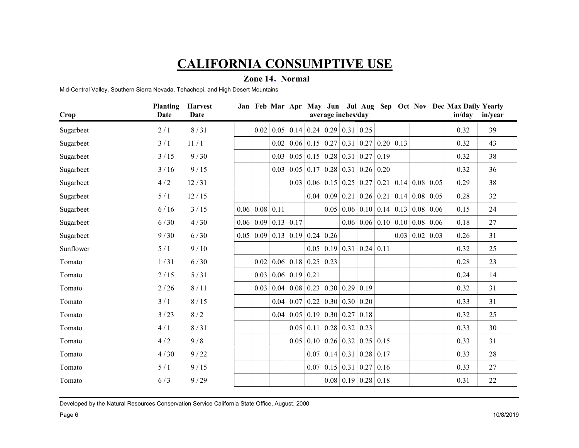### Zone 14 , Normal

|                                                                                  |        |                                 | <b>CALIFORNIA CONSUMPTIVE USE</b>         |                                  |                                                               |                                                                                        |                    |      |                |
|----------------------------------------------------------------------------------|--------|---------------------------------|-------------------------------------------|----------------------------------|---------------------------------------------------------------|----------------------------------------------------------------------------------------|--------------------|------|----------------|
| Mid-Central Valley, Southern Sierra Nevada, Tehachepi, and High Desert Mountains |        |                                 | Zone 14, Normal                           |                                  |                                                               |                                                                                        |                    |      |                |
|                                                                                  |        |                                 |                                           |                                  |                                                               |                                                                                        |                    |      |                |
| Crop                                                                             | Date   | Planting Harvest<br><b>Date</b> |                                           |                                  | average inches/day                                            | Jan Feb Mar Apr May Jun Jul Aug Sep Oct Nov Dec Max Daily Yearly                       |                    |      | in/day in/year |
| Sugarbeet                                                                        | 2/1    | 8/31                            |                                           |                                  | $0.02$   0.05   0.14   0.24   0.29   0.31   0.25              |                                                                                        |                    | 0.32 | 39             |
| Sugarbeet                                                                        | 3/1    | 11/1                            |                                           |                                  |                                                               | $0.02   0.06   0.15   0.27   0.31   0.27   0.20   0.13$                                |                    | 0.32 | 43             |
| Sugarbeet                                                                        | 3/15   | 9/30                            |                                           |                                  |                                                               | $0.03   0.05   0.15   0.28   0.31   0.27   0.19$                                       |                    | 0.32 | 38             |
| Sugarbeet                                                                        | 3/16   | 9/15                            |                                           |                                  |                                                               | $0.03$   0.05   0.17   0.28   0.31   0.26   0.20                                       |                    | 0.32 | 36             |
| Sugarbeet                                                                        | 4/2    | 12/31                           |                                           |                                  |                                                               | $0.03 \mid 0.06 \mid 0.15 \mid 0.25 \mid 0.27 \mid 0.21 \mid 0.14 \mid 0.08 \mid 0.05$ |                    | 0.29 | 38             |
| Sugarbeet                                                                        | 5/1    | 12/15                           |                                           |                                  |                                                               | $0.04 \mid 0.09 \mid 0.21 \mid 0.26 \mid 0.21 \mid 0.14 \mid 0.08 \mid 0.05$           |                    | 0.28 | 32             |
| Sugarbeet                                                                        | 6/16   | 3/15                            | $0.06 \mid 0.08 \mid 0.11$                |                                  |                                                               | $0.05   0.06   0.10   0.14   0.13   0.08   0.06$                                       |                    | 0.15 | 24             |
| Sugarbeet                                                                        | $6/30$ | 4/30                            | $0.06 \mid 0.09 \mid 0.13 \mid 0.17$      |                                  |                                                               | $0.06 \mid 0.06 \mid 0.10 \mid 0.10 \mid 0.08 \mid 0.06$                               |                    | 0.18 | 27             |
| Sugarbeet                                                                        | 9/30   | 6/30                            | $0.05   0.09   0.13   0.19   0.24   0.26$ |                                  |                                                               |                                                                                        | 0.03   0.02   0.03 | 0.26 | 31             |
| Sunflower                                                                        | 5/1    | 9/10                            |                                           |                                  |                                                               | $\vert 0.05 \vert 0.19 \vert 0.31 \vert 0.24 \vert 0.11$                               |                    | 0.32 | 25             |
| Tomato                                                                           | 1/31   | $6/30$                          |                                           | 0.02   0.06   0.18   0.25   0.23 |                                                               |                                                                                        |                    | 0.28 | 23             |
| Tomato                                                                           | $2/15$ | $5/31$                          |                                           | 0.03   0.06   0.19   0.21        |                                                               |                                                                                        |                    | 0.24 | 14             |
| Tomato                                                                           | $2/26$ | 8/11                            |                                           |                                  | $0.03   0.04   0.08   0.23   0.30   0.29   0.19$              |                                                                                        |                    | 0.32 | 31             |
| Tomato                                                                           | 3/1    | 8/15                            |                                           |                                  | $0.04 \mid 0.07 \mid 0.22 \mid 0.30 \mid 0.30 \mid 0.20 \mid$ |                                                                                        |                    | 0.33 | 31             |
| Tomato                                                                           | 3/23   | 8/2                             |                                           |                                  | $0.04 \mid 0.05 \mid 0.19 \mid 0.30 \mid 0.27 \mid 0.18 \mid$ |                                                                                        |                    | 0.32 | 25             |
| Tomato                                                                           | 4/1    | 8/31                            |                                           |                                  | $0.05$ 0.11 0.28 0.32 0.23                                    |                                                                                        |                    | 0.33 | 30             |
| Tomato                                                                           | 4/2    | 9/8                             |                                           |                                  |                                                               | $0.05$ 0.10 0.26 0.32 0.25 0.15                                                        |                    | 0.33 | 31             |
| Tomato                                                                           | 4/30   | 9/22                            |                                           |                                  |                                                               | $0.07$ 0.14 0.31 0.28 0.17                                                             |                    | 0.33 | 28             |
| Tomato                                                                           | 5/1    | 9/15                            |                                           |                                  |                                                               | $0.07$ 0.15 0.31 0.27 0.16                                                             |                    | 0.33 | 27             |
| Tomato                                                                           | 6/3    | 9/29                            |                                           |                                  |                                                               | $0.08$ 0.19 0.28 0.18                                                                  |                    | 0.31 | 22             |